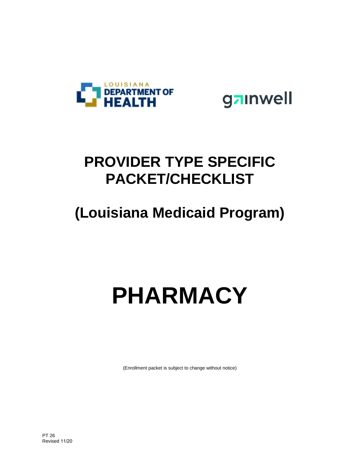

gainwell

# **PROVIDER TYPE SPECIFIC PACKET/CHECKLIST**

# **(Louisiana Medicaid Program)**

# **PHARMACY**

(Enrollment packet is subject to change without notice)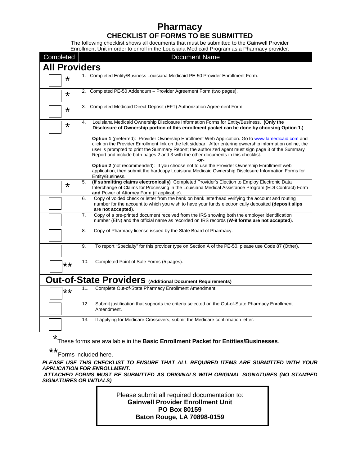### **Pharmacy CHECKLIST OF FORMS TO BE SUBMITTED**

The following checklist shows all documents that must be submitted to the Gainwell Provider Enrollment Unit in order to enroll in the Louisiana Medicaid Program as a Pharmacy provider:

| Completed            | a : 10grafii ao amin'ny faritr'i Provinsier.<br><b>Document Name</b>                                                                                                                                                                                                                                                                                                                                                       |
|----------------------|----------------------------------------------------------------------------------------------------------------------------------------------------------------------------------------------------------------------------------------------------------------------------------------------------------------------------------------------------------------------------------------------------------------------------|
| <b>All Providers</b> |                                                                                                                                                                                                                                                                                                                                                                                                                            |
| $\star$              | 1. Completed Entity/Business Louisiana Medicaid PE-50 Provider Enrollment Form.                                                                                                                                                                                                                                                                                                                                            |
| $\star$              | 2. Completed PE-50 Addendum - Provider Agreement Form (two pages).                                                                                                                                                                                                                                                                                                                                                         |
| *                    | 3. Completed Medicaid Direct Deposit (EFT) Authorization Agreement Form.                                                                                                                                                                                                                                                                                                                                                   |
| *                    | Louisiana Medicaid Ownership Disclosure Information Forms for Entity/Business. (Only the<br>4.<br>Disclosure of Ownership portion of this enrollment packet can be done by choosing Option 1.)                                                                                                                                                                                                                             |
|                      | <b>Option 1</b> (preferred): Provider Ownership Enrollment Web Application. Go to www.lamedicaid.com and<br>click on the Provider Enrollment link on the left sidebar. After entering ownership information online, the<br>user is prompted to print the Summary Report; the authorized agent must sign page 3 of the Summary<br>Report and include both pages 2 and 3 with the other documents in this checklist.<br>-or- |
|                      | <b>Option 2</b> (not recommended): If you choose not to use the Provider Ownership Enrollment web<br>application, then submit the hardcopy Louisiana Medicaid Ownership Disclosure Information Forms for<br>Entity/Business.                                                                                                                                                                                               |
| $\star$              | (If submitting claims electronically) Completed Provider's Election to Employ Electronic Data<br>5.<br>Interchange of Claims for Processing in the Louisiana Medical Assistance Program (EDI Contract) Form<br>and Power of Attorney Form (if applicable).                                                                                                                                                                 |
|                      | Copy of voided check or letter from the bank on bank letterhead verifying the account and routing<br>6.<br>number for the account to which you wish to have your funds electronically deposited (deposit slips<br>are not accepted).                                                                                                                                                                                       |
|                      | 7.<br>Copy of a pre-printed document received from the IRS showing both the employer identification<br>number (EIN) and the official name as recorded on IRS records (W-9 forms are not accepted).                                                                                                                                                                                                                         |
|                      | Copy of Pharmacy license issued by the State Board of Pharmacy.<br>8.                                                                                                                                                                                                                                                                                                                                                      |
|                      | To report "Specialty" for this provider type on Section A of the PE-50, please use Code 87 (Other).<br>9.                                                                                                                                                                                                                                                                                                                  |
| **                   | 10.<br>Completed Point of Sale Forms (5 pages).                                                                                                                                                                                                                                                                                                                                                                            |
|                      | Out-of-State Providers (Additional Document Requirements)                                                                                                                                                                                                                                                                                                                                                                  |
| **                   | Complete Out-of-State Pharmacy Enrollment Amendment<br>11.                                                                                                                                                                                                                                                                                                                                                                 |
|                      | 12.<br>Submit justification that supports the criteria selected on the Out-of-State Pharmacy Enrollment<br>Amendment.                                                                                                                                                                                                                                                                                                      |
|                      | 13.<br>If applying for Medicare Crossovers, submit the Medicare confirmation letter.                                                                                                                                                                                                                                                                                                                                       |

\* These forms are available in the **Basic Enrollment Packet for Entities/Businesses**.

\*\* Forms included here.

*PLEASE USE THIS CHECKLIST TO ENSURE THAT ALL REQUIRED ITEMS ARE SUBMITTED WITH YOUR APPLICATION FOR ENROLLMENT.* 

*ATTACHED FORMS MUST BE SUBMITTED AS ORIGINALS WITH ORIGINAL SIGNATURES (NO STAMPED SIGNATURES OR INITIALS)*

> Please submit all required documentation to: **Gainwell Provider Enrollment Unit PO Box 80159 Baton Rouge, LA 70898-0159**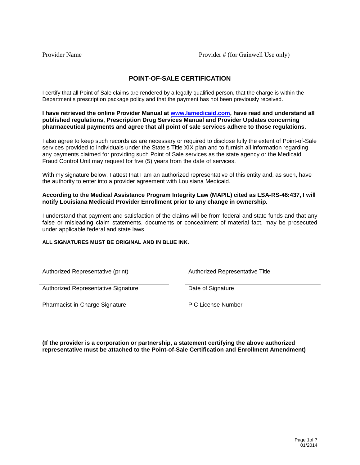#### **POINT-OF-SALE CERTIFICATION**

I certify that all Point of Sale claims are rendered by a legally qualified person, that the charge is within the Department's prescription package policy and that the payment has not been previously received.

**I have retrieved the online Provider Manual at [www.lamedicaid.com,](http://www.lamedicaid.com/) have read and understand all published regulations, Prescription Drug Services Manual and Provider Updates concerning pharmaceutical payments and agree that all point of sale services adhere to those regulations.** 

I also agree to keep such records as are necessary or required to disclose fully the extent of Point-of-Sale services provided to individuals under the State's Title XIX plan and to furnish all information regarding any payments claimed for providing such Point of Sale services as the state agency or the Medicaid Fraud Control Unit may request for five (5) years from the date of services.

With my signature below, I attest that I am an authorized representative of this entity and, as such, have the authority to enter into a provider agreement with Louisiana Medicaid.

#### **According to the Medical Assistance Program Integrity Law (MAPIL) cited as LSA-RS-46:437, I will notify Louisiana Medicaid Provider Enrollment prior to any change in ownership.**

I understand that payment and satisfaction of the claims will be from federal and state funds and that any false or misleading claim statements, documents or concealment of material fact, may be prosecuted under applicable federal and state laws.

#### **ALL SIGNATURES MUST BE ORIGINAL AND IN BLUE INK.**

Authorized Representative (print) and Authorized Representative Title

Authorized Representative Signature Date of Signature

Pharmacist-in-Charge Signature PIC License Number

**(If the provider is a corporation or partnership, a statement certifying the above authorized representative must be attached to the Point-of-Sale Certification and Enrollment Amendment)**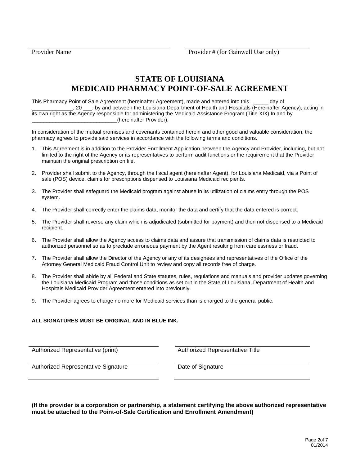## **STATE OF LOUISIANA MEDICAID PHARMACY POINT-OF-SALE AGREEMENT**

This Pharmacy Point of Sale Agreement (hereinafter Agreement), made and entered into this \_\_\_\_\_ day of \_\_\_\_\_\_\_\_\_\_\_\_\_\_, 20 \_\_\_, by and between the Louisiana Department of Health and Hospitals (Hereinafter Agency), acting in its own right as the Agency responsible for administering the Medicaid Assistance Program (Title XIX) In and by \_\_\_\_\_\_\_\_\_\_\_\_\_\_\_\_\_\_\_\_\_\_\_\_\_\_\_\_\_(hereinafter Provider).

In consideration of the mutual promises and covenants contained herein and other good and valuable consideration, the pharmacy agrees to provide said services in accordance with the following terms and conditions.

- 1. This Agreement is in addition to the Provider Enrollment Application between the Agency and Provider, including, but not limited to the right of the Agency or its representatives to perform audit functions or the requirement that the Provider maintain the original prescription on file.
- 2. Provider shall submit to the Agency, through the fiscal agent (hereinafter Agent), for Louisiana Medicaid, via a Point of sale (POS) device, claims for prescriptions dispensed to Louisiana Medicaid recipients.
- 3. The Provider shall safeguard the Medicaid program against abuse in its utilization of claims entry through the POS system.
- 4. The Provider shall correctly enter the claims data, monitor the data and certify that the data entered is correct.
- 5. The Provider shall reverse any claim which is adjudicated (submitted for payment) and then not dispensed to a Medicaid recipient.
- 6. The Provider shall allow the Agency access to claims data and assure that transmission of claims data is restricted to authorized personnel so as to preclude erroneous payment by the Agent resulting from carelessness or fraud.
- 7. The Provider shall allow the Director of the Agency or any of its designees and representatives of the Office of the Attorney General Medicaid Fraud Control Unit to review and copy all records free of charge.
- 8. The Provider shall abide by all Federal and State statutes, rules, regulations and manuals and provider updates governing the Louisiana Medicaid Program and those conditions as set out in the State of Louisiana, Department of Health and Hospitals Medicaid Provider Agreement entered into previously.
- 9. The Provider agrees to charge no more for Medicaid services than is charged to the general public.

#### **ALL SIGNATURES MUST BE ORIGINAL AND IN BLUE INK.**

Authorized Representative (print) Authorized Representative Title

Authorized Representative Signature **Date of Signature** Date of Signature

**(If the provider is a corporation or partnership, a statement certifying the above authorized representative must be attached to the Point-of-Sale Certification and Enrollment Amendment)**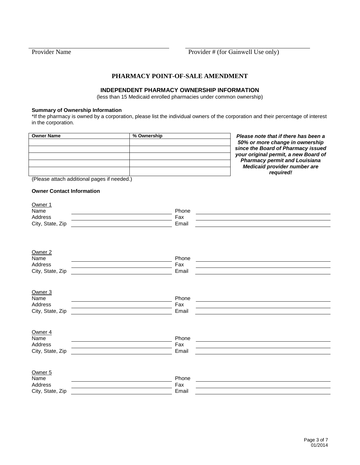#### **PHARMACY POINT-OF-SALE AMENDMENT**

#### **INDEPENDENT PHARMACY OWNERSHIP INFORMATION**

(less than 15 Medicaid enrolled pharmacies under common ownership)

#### **Summary of Ownership Information**

\*If the pharmacy is owned by a corporation, please list the individual owners of the corporation and their percentage of interest in the corporation.

| Owner Name | % Ownership |
|------------|-------------|
|            |             |
|            |             |
|            |             |
|            |             |
|            |             |

**Please note that if there has been a** *50% or more change in ownership since the Board of Pharmacy issued your original permit, a new Board of Pharmacy permit and Louisiana Medicaid provider number are required!*

(Please attach additional pages if needed.)

#### **Owner Contact Information**

| Owner 1<br>Name<br>Address<br>City, State, Zip            | Phone<br>Fax<br>Email |  |
|-----------------------------------------------------------|-----------------------|--|
| Owner <sub>2</sub><br>Name<br>Address<br>City, State, Zip | Phone<br>Fax<br>Email |  |
| Owner <sub>3</sub><br>Name<br>Address<br>City, State, Zip | Phone<br>Fax<br>Email |  |
| Owner 4<br>Name<br>Address<br>City, State, Zip            | Phone<br>Fax<br>Email |  |
| Owner <sub>5</sub><br>Name<br>Address<br>City, State, Zip | Phone<br>Fax<br>Email |  |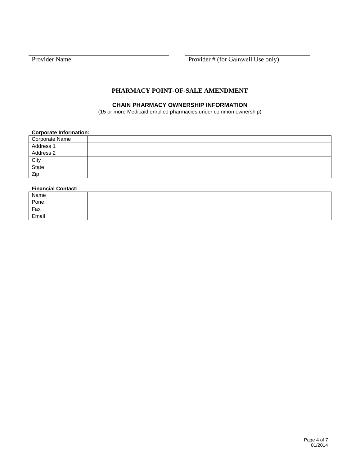Provider Name Provider # (for Gainwell Use only)

#### **PHARMACY POINT-OF-SALE AMENDMENT**

#### **CHAIN PHARMACY OWNERSHIP INFORMATION**

(15 or more Medicaid enrolled pharmacies under common ownership)

#### **Corporate Information:**

| Corporate Name     |  |
|--------------------|--|
| Address 1          |  |
| Address 2          |  |
| $rac{City}{State}$ |  |
|                    |  |
| Zip                |  |

#### **Financial Contact:**

| Name  |  |
|-------|--|
| Pone  |  |
| Fax   |  |
| Email |  |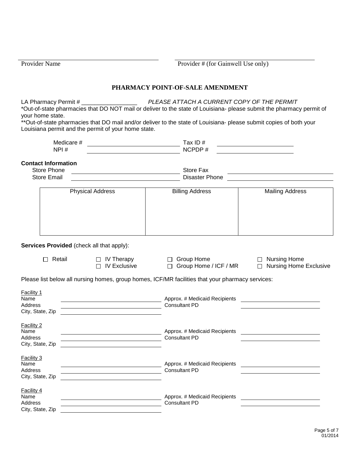Provider Name Provider # (for Gainwell Use only)

#### **PHARMACY POINT-OF-SALE AMENDMENT**

LA Pharmacy Permit # \_\_\_\_\_\_\_\_\_\_\_\_\_\_\_\_\_ *PLEASE ATTACH A CURRENT COPY OF THE PERMIT* \*Out-of-state pharmacies that DO NOT mail or deliver to the state of Louisiana- please submit the pharmacy permit of your home state.

\*\*Out-of-state pharmacies that DO mail and/or deliver to the state of Louisiana- please submit copies of both your Louisiana permit and the permit of your home state.

| Medicare # | Tax ID # |  |
|------------|----------|--|
| NPI#       | NCPDP#   |  |

#### **Contact Information**

| Store Phone        | Store Fax      |  |
|--------------------|----------------|--|
| <b>Store Email</b> | Disaster Phone |  |
|                    |                |  |

| <b>Billing Address</b> | <b>Mailing Address</b> |
|------------------------|------------------------|
|                        |                        |
|                        |                        |
|                        |                        |
|                        |                        |

**Services Provided** (check all that apply):

- 
- Retail IV Therapy Group Home Nursing Home  $\Box$  Group Home / ICF / MR

Please list below all nursing homes, group homes, ICF/MR facilities that your pharmacy services:

| Facility 1<br>Name<br>Address<br>City, State, Zip | Approx. # Medicaid Recipients<br>Consultant PD        |  |
|---------------------------------------------------|-------------------------------------------------------|--|
| Facility 2<br>Name<br>Address<br>City, State, Zip | Approx. # Medicaid Recipients<br><b>Consultant PD</b> |  |
| Facility 3<br>Name<br>Address<br>City, State, Zip | Approx. # Medicaid Recipients<br><b>Consultant PD</b> |  |
| Facility 4<br>Name<br>Address<br>City, State, Zip | Approx. # Medicaid Recipients<br><b>Consultant PD</b> |  |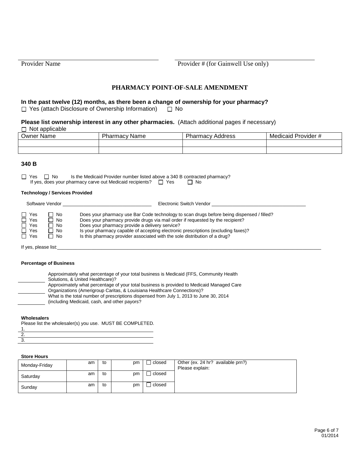Provider Name Provider # (for Gainwell Use only)

#### **PHARMACY POINT-OF-SALE AMENDMENT**

**In the past twelve (12) months, as there been a change of ownership for your pharmacy?**  $\Box$  Yes (attach Disclosure of Ownership Information)  $\Box$  No

**Please list ownership interest in any other pharmacies.** (Attach additional pages if necessary)  $\Box$  Not applicable

| Owner Name | 'harmacv<br>Name | Pharmacy<br>Address | -<br>Medicaid Provider # |
|------------|------------------|---------------------|--------------------------|
|            |                  |                     |                          |
|            |                  |                     |                          |

#### **340 B**

 $\Box$  Yes  $\Box$  No Is the Medicaid Provider number listed above a 340 B contracted pharmacy?<br>If yes, does your pharmacy carve out Medicaid recipients?  $\Box$  Yes  $\Box$  No If yes, does your pharmacy carve out Medicaid recipients?  $\Box$  Yes

#### **Technology / Services Provided**

| Software Vendor                                                                                           | Electronic Switch Vendor                                                                                                                                                                                                                                                                                                                                                                         |
|-----------------------------------------------------------------------------------------------------------|--------------------------------------------------------------------------------------------------------------------------------------------------------------------------------------------------------------------------------------------------------------------------------------------------------------------------------------------------------------------------------------------------|
| $\Box$ Yes<br>- No<br>$\Box$ Yes<br>1 No<br>$\Box$ Yes<br>No.<br>$\Box$ Yes<br>- No<br>$\Box$ Yes<br>1 No | Does your pharmacy use Bar Code technology to scan drugs before being dispensed / filled?<br>Does your pharmacy provide drugs via mail order if requested by the recipient?<br>Does your pharmacy provide a delivery service?<br>Is your pharmacy capable of accepting electronic prescriptions (excluding faxes)?<br>Is this pharmacy provider associated with the sole distribution of a drug? |

If yes, please list:

#### **Percentage of Business**

| Approximately what percentage of your total business is Medicaid (FFS, Community Health<br>Solutions, & United Healthcare)?                                          |
|----------------------------------------------------------------------------------------------------------------------------------------------------------------------|
| Approximately what percentage of your total business is provided to Medicaid Managed Care<br>Organizations (Amerigroup Caritas, & Louisiana Healthcare Connections)? |
| What is the total number of prescriptions dispensed from July 1, 2013 to June 30, 2014<br>(including Medicaid, cash, and other payors?                               |
|                                                                                                                                                                      |

#### **Wholesalers**

Please list the wholesaler(s) you use. MUST BE COMPLETED.

1. 2. 3.

#### **Store Hours**

| Monday-Friday | am | to | pm | closed | Other (ex. 24 hr? available prn?)<br>Please explain: |
|---------------|----|----|----|--------|------------------------------------------------------|
| Saturday      | am | to | pm | closed |                                                      |
| Sunday        | am | to | pm | closed |                                                      |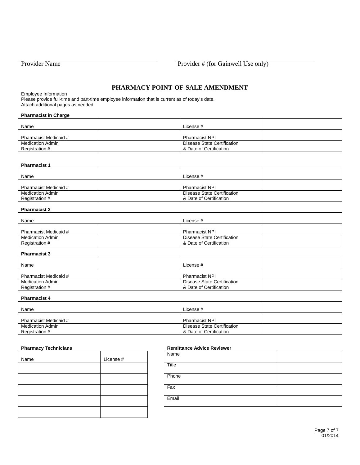#### **PHARMACY POINT-OF-SALE AMENDMENT**

Employee Information

Please provide full-time and part-time employee information that is current as of today's date. Attach additional pages as needed.

#### **Pharmacist in Charge**

| Name                                      | License #                                              |  |
|-------------------------------------------|--------------------------------------------------------|--|
| Pharmacist Medicaid #                     | <b>Pharmacist NPI</b>                                  |  |
| <b>Medication Admin</b><br>Registration # | Disease State Certification<br>& Date of Certification |  |

#### **Pharmacist 1**

| Name                                      | License #                                              |  |
|-------------------------------------------|--------------------------------------------------------|--|
| Pharmacist Medicaid #                     | <b>Pharmacist NPI</b>                                  |  |
| <b>Medication Admin</b><br>Registration # | Disease State Certification<br>& Date of Certification |  |

#### **Pharmacist 2**

| Name                                      | License #                                              |  |
|-------------------------------------------|--------------------------------------------------------|--|
| Pharmacist Medicaid #                     | <b>Pharmacist NPI</b>                                  |  |
| <b>Medication Admin</b><br>Registration # | Disease State Certification<br>& Date of Certification |  |

#### **Pharmacist 3**

| Name                    | License #                   |  |
|-------------------------|-----------------------------|--|
| Pharmacist Medicaid #   | <b>Pharmacist NPI</b>       |  |
| <b>Medication Admin</b> | Disease State Certification |  |
| Registration #          | & Date of Certification     |  |

#### **Pharmacist 4**

| Name                               | License #                                              |  |
|------------------------------------|--------------------------------------------------------|--|
| Pharmacist Medicaid #              | <b>Pharmacist NPI</b>                                  |  |
| Medication Admin<br>Registration # | Disease State Certification<br>& Date of Certification |  |

| Name | License # |
|------|-----------|
|      |           |
|      |           |
|      |           |
|      |           |
|      |           |

#### **Pharmacy Technicians Remittance Advice Reviewer**

| Name  |  |
|-------|--|
| Title |  |
| Phone |  |
| Fax   |  |
| Email |  |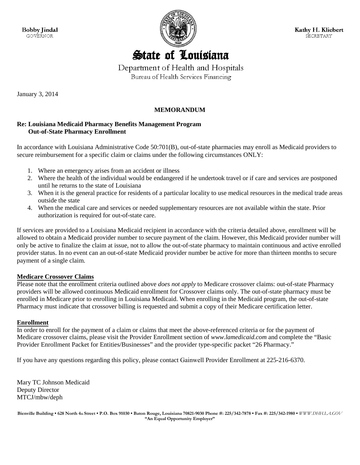**Bobby Jindal GOVERNOR** 



Kathy H. Kliebert SECRETARY

## **State of Louisiana**

Department of Health and Hospitals Bureau of Health Services Financing

January 3, 2014

#### **MEMORANDUM**

#### **Re: Louisiana Medicaid Pharmacy Benefits Management Program Out-of-State Pharmacy Enrollment**

In accordance with Louisiana Administrative Code 50:701(B), out-of-state pharmacies may enroll as Medicaid providers to secure reimbursement for a specific claim or claims under the following circumstances ONLY:

- 1. Where an emergency arises from an accident or illness
- 2. Where the health of the individual would be endangered if he undertook travel or if care and services are postponed until he returns to the state of Louisiana
- 3. When it is the general practice for residents of a particular locality to use medical resources in the medical trade areas outside the state
- 4. When the medical care and services or needed supplementary resources are not available within the state. Prior authorization is required for out-of-state care.

If services are provided to a Louisiana Medicaid recipient in accordance with the criteria detailed above, enrollment will be allowed to obtain a Medicaid provider number to secure payment of the claim. However, this Medicaid provider number will only be active to finalize the claim at issue, not to allow the out-of-state pharmacy to maintain continuous and active enrolled provider status. In no event can an out-of-state Medicaid provider number be active for more than thirteen months to secure payment of a single claim.

#### **Medicare Crossover Claims**

Please note that the enrollment criteria outlined above *does not apply* to Medicare crossover claims: out-of-state Pharmacy providers will be allowed continuous Medicaid enrollment for Crossover claims only. The out-of-state pharmacy must be enrolled in Medicare prior to enrolling in Louisiana Medicaid. When enrolling in the Medicaid program, the out-of-state Pharmacy must indicate that crossover billing is requested and submit a copy of their Medicare certification letter.

#### **Enrollment**

In order to enroll for the payment of a claim or claims that meet the above-referenced criteria or for the payment of Medicare crossover claims, please visit the Provider Enrollment section of *www.lamedicaid.com* and complete the "Basic Provider Enrollment Packet for Entities/Businesses" and the provider type-specific packet "26 Pharmacy."

If you have any questions regarding this policy, please contact Gainwell Provider Enrollment at 225-216-6370.

Mary TC Johnson Medicaid Deputy Director MTCJ/mbw/deph